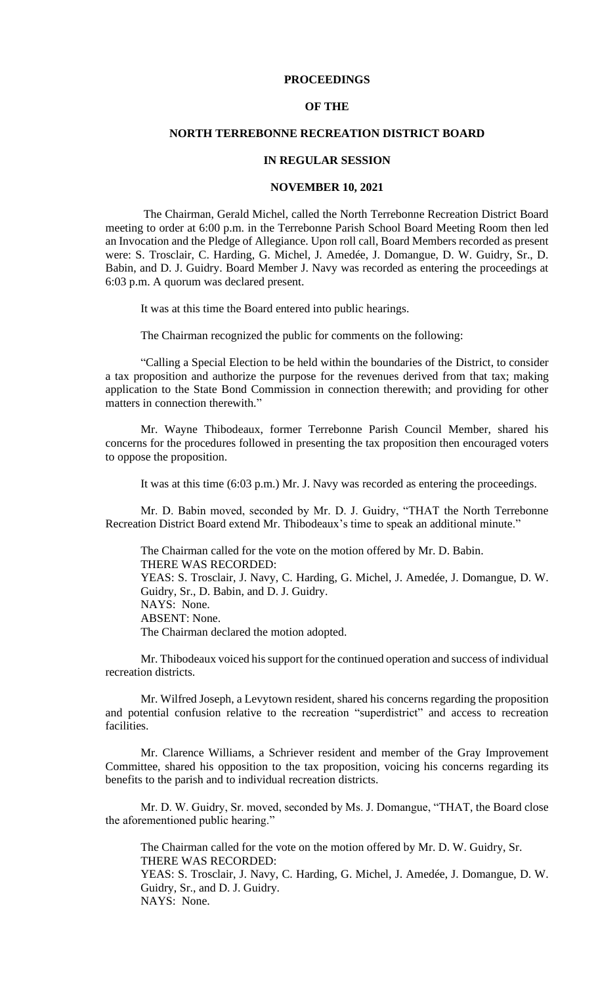#### **PROCEEDINGS**

#### **OF THE**

#### **NORTH TERREBONNE RECREATION DISTRICT BOARD**

#### **IN REGULAR SESSION**

#### **NOVEMBER 10, 2021**

The Chairman, Gerald Michel, called the North Terrebonne Recreation District Board meeting to order at 6:00 p.m. in the Terrebonne Parish School Board Meeting Room then led an Invocation and the Pledge of Allegiance. Upon roll call, Board Members recorded as present were: S. Trosclair, C. Harding, G. Michel, J. Amedée, J. Domangue, D. W. Guidry, Sr., D. Babin, and D. J. Guidry. Board Member J. Navy was recorded as entering the proceedings at 6:03 p.m. A quorum was declared present.

It was at this time the Board entered into public hearings.

The Chairman recognized the public for comments on the following:

"Calling a Special Election to be held within the boundaries of the District, to consider a tax proposition and authorize the purpose for the revenues derived from that tax; making application to the State Bond Commission in connection therewith; and providing for other matters in connection therewith."

Mr. Wayne Thibodeaux, former Terrebonne Parish Council Member, shared his concerns for the procedures followed in presenting the tax proposition then encouraged voters to oppose the proposition.

It was at this time (6:03 p.m.) Mr. J. Navy was recorded as entering the proceedings.

Mr. D. Babin moved, seconded by Mr. D. J. Guidry, "THAT the North Terrebonne Recreation District Board extend Mr. Thibodeaux's time to speak an additional minute."

The Chairman called for the vote on the motion offered by Mr. D. Babin. THERE WAS RECORDED: YEAS: S. Trosclair, J. Navy, C. Harding, G. Michel, J. Amedée, J. Domangue, D. W. Guidry, Sr., D. Babin, and D. J. Guidry. NAYS: None. ABSENT: None. The Chairman declared the motion adopted.

Mr. Thibodeaux voiced his support for the continued operation and success of individual recreation districts.

Mr. Wilfred Joseph, a Levytown resident, shared his concerns regarding the proposition and potential confusion relative to the recreation "superdistrict" and access to recreation facilities.

Mr. Clarence Williams, a Schriever resident and member of the Gray Improvement Committee, shared his opposition to the tax proposition, voicing his concerns regarding its benefits to the parish and to individual recreation districts.

Mr. D. W. Guidry, Sr. moved, seconded by Ms. J. Domangue, "THAT, the Board close the aforementioned public hearing."

The Chairman called for the vote on the motion offered by Mr. D. W. Guidry, Sr. THERE WAS RECORDED:

YEAS: S. Trosclair, J. Navy, C. Harding, G. Michel, J. Amedée, J. Domangue, D. W. Guidry, Sr., and D. J. Guidry.

NAYS: None.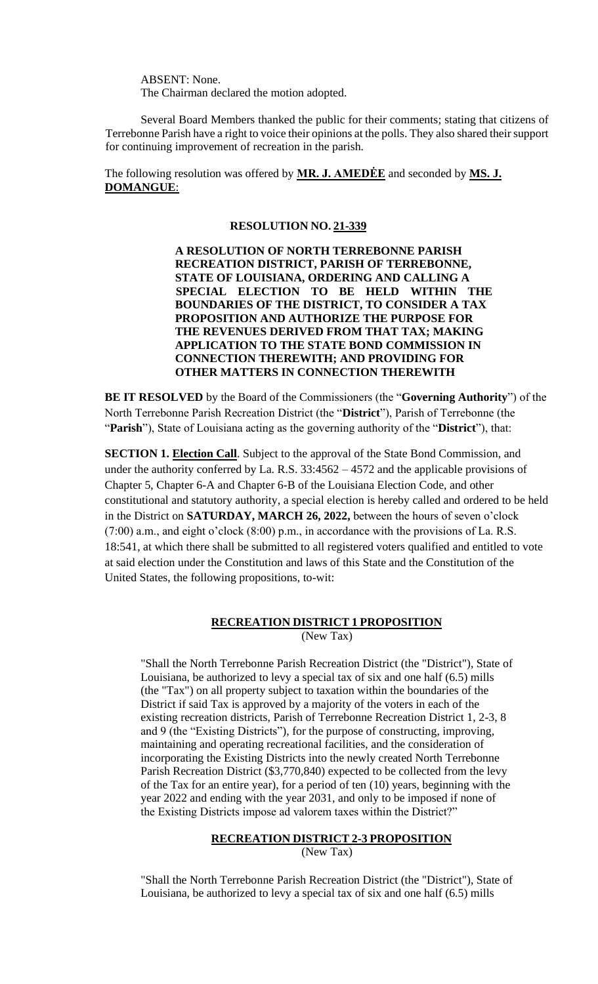ABSENT: None. The Chairman declared the motion adopted.

Several Board Members thanked the public for their comments; stating that citizens of Terrebonne Parish have a right to voice their opinions at the polls. They also shared their support for continuing improvement of recreation in the parish.

The following resolution was offered by **MR. J. AMEDĖE** and seconded by **MS. J. DOMANGUE**:

#### **RESOLUTION NO. 21-339**

**A RESOLUTION OF NORTH TERREBONNE PARISH RECREATION DISTRICT, PARISH OF TERREBONNE, STATE OF LOUISIANA, ORDERING AND CALLING A SPECIAL ELECTION TO BE HELD WITHIN THE BOUNDARIES OF THE DISTRICT, TO CONSIDER A TAX PROPOSITION AND AUTHORIZE THE PURPOSE FOR THE REVENUES DERIVED FROM THAT TAX; MAKING APPLICATION TO THE STATE BOND COMMISSION IN CONNECTION THEREWITH; AND PROVIDING FOR OTHER MATTERS IN CONNECTION THEREWITH** 

**BE IT RESOLVED** by the Board of the Commissioners (the "**Governing Authority**") of the North Terrebonne Parish Recreation District (the "**District**"), Parish of Terrebonne (the "**Parish**"), State of Louisiana acting as the governing authority of the "**District**"), that:

**SECTION 1. Election Call**. Subject to the approval of the State Bond Commission, and under the authority conferred by La. R.S. 33:4562 – 4572 and the applicable provisions of Chapter 5, Chapter 6-A and Chapter 6-B of the Louisiana Election Code, and other constitutional and statutory authority, a special election is hereby called and ordered to be held in the District on **SATURDAY, MARCH 26, 2022,** between the hours of seven o'clock (7:00) a.m., and eight o'clock (8:00) p.m., in accordance with the provisions of La. R.S. 18:541, at which there shall be submitted to all registered voters qualified and entitled to vote at said election under the Constitution and laws of this State and the Constitution of the United States, the following propositions, to-wit:

### **RECREATION DISTRICT 1 PROPOSITION** (New Tax)

"Shall the North Terrebonne Parish Recreation District (the "District"), State of Louisiana, be authorized to levy a special tax of six and one half (6.5) mills (the "Tax") on all property subject to taxation within the boundaries of the District if said Tax is approved by a majority of the voters in each of the existing recreation districts, Parish of Terrebonne Recreation District 1, 2-3, 8 and 9 (the "Existing Districts"), for the purpose of constructing, improving, maintaining and operating recreational facilities, and the consideration of incorporating the Existing Districts into the newly created North Terrebonne Parish Recreation District (\$3,770,840) expected to be collected from the levy of the Tax for an entire year), for a period of ten (10) years, beginning with the year 2022 and ending with the year 2031, and only to be imposed if none of the Existing Districts impose ad valorem taxes within the District?"

### **RECREATION DISTRICT 2-3 PROPOSITION**

(New Tax)

"Shall the North Terrebonne Parish Recreation District (the "District"), State of Louisiana, be authorized to levy a special tax of six and one half (6.5) mills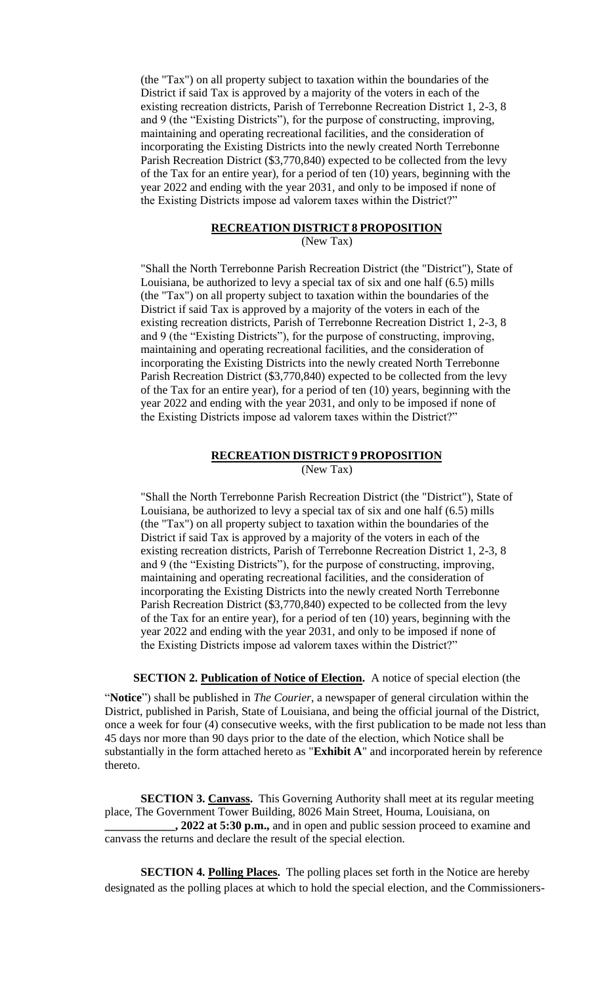(the "Tax") on all property subject to taxation within the boundaries of the District if said Tax is approved by a majority of the voters in each of the existing recreation districts, Parish of Terrebonne Recreation District 1, 2-3, 8 and 9 (the "Existing Districts"), for the purpose of constructing, improving, maintaining and operating recreational facilities, and the consideration of incorporating the Existing Districts into the newly created North Terrebonne Parish Recreation District (\$3,770,840) expected to be collected from the levy of the Tax for an entire year), for a period of ten (10) years, beginning with the year 2022 and ending with the year 2031, and only to be imposed if none of the Existing Districts impose ad valorem taxes within the District?"

# **RECREATION DISTRICT 8 PROPOSITION**

(New Tax)

"Shall the North Terrebonne Parish Recreation District (the "District"), State of Louisiana, be authorized to levy a special tax of six and one half (6.5) mills (the "Tax") on all property subject to taxation within the boundaries of the District if said Tax is approved by a majority of the voters in each of the existing recreation districts, Parish of Terrebonne Recreation District 1, 2-3, 8 and 9 (the "Existing Districts"), for the purpose of constructing, improving, maintaining and operating recreational facilities, and the consideration of incorporating the Existing Districts into the newly created North Terrebonne Parish Recreation District (\$3,770,840) expected to be collected from the levy of the Tax for an entire year), for a period of ten (10) years, beginning with the year 2022 and ending with the year 2031, and only to be imposed if none of the Existing Districts impose ad valorem taxes within the District?"

# **RECREATION DISTRICT 9 PROPOSITION**

(New Tax)

"Shall the North Terrebonne Parish Recreation District (the "District"), State of Louisiana, be authorized to levy a special tax of six and one half (6.5) mills (the "Tax") on all property subject to taxation within the boundaries of the District if said Tax is approved by a majority of the voters in each of the existing recreation districts, Parish of Terrebonne Recreation District 1, 2-3, 8 and 9 (the "Existing Districts"), for the purpose of constructing, improving, maintaining and operating recreational facilities, and the consideration of incorporating the Existing Districts into the newly created North Terrebonne Parish Recreation District (\$3,770,840) expected to be collected from the levy of the Tax for an entire year), for a period of ten (10) years, beginning with the year 2022 and ending with the year 2031, and only to be imposed if none of the Existing Districts impose ad valorem taxes within the District?"

**SECTION 2. Publication of Notice of Election.** A notice of special election (the

"**Notice**") shall be published in *The Courier,* a newspaper of general circulation within the District, published in Parish, State of Louisiana, and being the official journal of the District, once a week for four (4) consecutive weeks, with the first publication to be made not less than 45 days nor more than 90 days prior to the date of the election, which Notice shall be substantially in the form attached hereto as "**Exhibit A**" and incorporated herein by reference thereto.

**SECTION 3. Canvass.** This Governing Authority shall meet at its regular meeting place, The Government Tower Building, 8026 Main Street, Houma, Louisiana, on **\_\_\_\_\_\_\_\_\_\_\_\_, 2022 at 5:30 p.m.,** and in open and public session proceed to examine and canvass the returns and declare the result of the special election.

**SECTION 4. Polling Places.** The polling places set forth in the Notice are hereby designated as the polling places at which to hold the special election, and the Commissioners-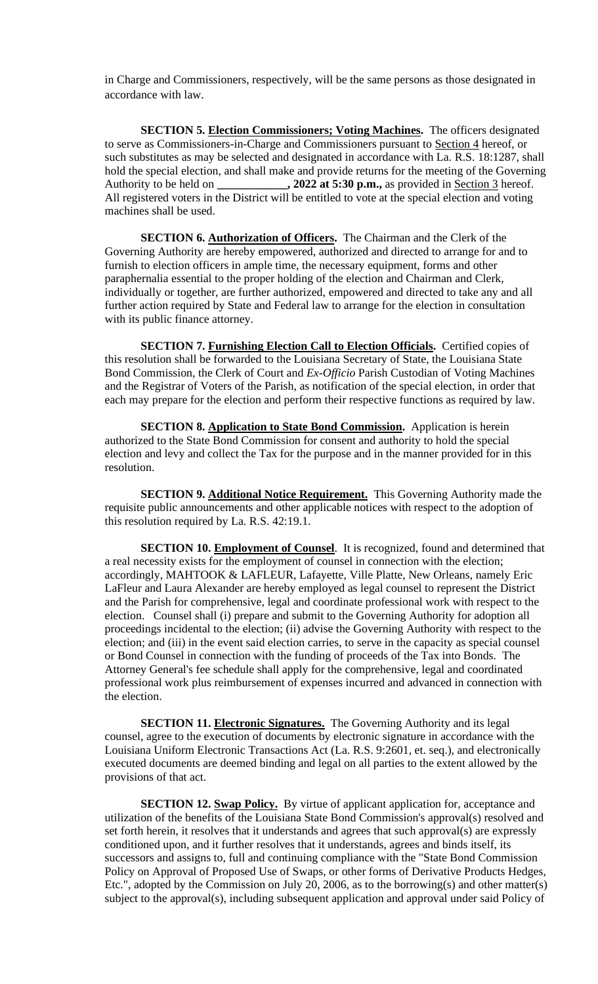in Charge and Commissioners, respectively, will be the same persons as those designated in accordance with law.

**SECTION 5. Election Commissioners; Voting Machines.** The officers designated to serve as Commissioners-in-Charge and Commissioners pursuant to Section 4 hereof, or such substitutes as may be selected and designated in accordance with La. R.S. 18:1287, shall hold the special election, and shall make and provide returns for the meeting of the Governing  $\rightarrow$  2022 at 5:30 p.m., as provided in Section 3 hereof. All registered voters in the District will be entitled to vote at the special election and voting machines shall be used.

**SECTION 6. Authorization of Officers.** The Chairman and the Clerk of the Governing Authority are hereby empowered, authorized and directed to arrange for and to furnish to election officers in ample time, the necessary equipment, forms and other paraphernalia essential to the proper holding of the election and Chairman and Clerk, individually or together, are further authorized, empowered and directed to take any and all further action required by State and Federal law to arrange for the election in consultation with its public finance attorney.

**SECTION 7. Furnishing Election Call to Election Officials.** Certified copies of this resolution shall be forwarded to the Louisiana Secretary of State, the Louisiana State Bond Commission, the Clerk of Court and *Ex-Officio* Parish Custodian of Voting Machines and the Registrar of Voters of the Parish, as notification of the special election, in order that each may prepare for the election and perform their respective functions as required by law.

**SECTION 8. Application to State Bond Commission.** Application is herein authorized to the State Bond Commission for consent and authority to hold the special election and levy and collect the Tax for the purpose and in the manner provided for in this resolution.

**SECTION 9. Additional Notice Requirement.** This Governing Authority made the requisite public announcements and other applicable notices with respect to the adoption of this resolution required by La. R.S. 42:19.1.

**SECTION 10. Employment of Counsel**. It is recognized, found and determined that a real necessity exists for the employment of counsel in connection with the election; accordingly, MAHTOOK & LAFLEUR, Lafayette, Ville Platte, New Orleans, namely Eric LaFleur and Laura Alexander are hereby employed as legal counsel to represent the District and the Parish for comprehensive, legal and coordinate professional work with respect to the election. Counsel shall (i) prepare and submit to the Governing Authority for adoption all proceedings incidental to the election; (ii) advise the Governing Authority with respect to the election; and (iii) in the event said election carries, to serve in the capacity as special counsel or Bond Counsel in connection with the funding of proceeds of the Tax into Bonds. The Attorney General's fee schedule shall apply for the comprehensive, legal and coordinated professional work plus reimbursement of expenses incurred and advanced in connection with the election.

**SECTION 11. Electronic Signatures.** The Governing Authority and its legal counsel, agree to the execution of documents by electronic signature in accordance with the Louisiana Uniform Electronic Transactions Act (La. R.S. 9:2601, et. seq.), and electronically executed documents are deemed binding and legal on all parties to the extent allowed by the provisions of that act.

**SECTION 12. Swap Policy.** By virtue of applicant application for, acceptance and utilization of the benefits of the Louisiana State Bond Commission's approval(s) resolved and set forth herein, it resolves that it understands and agrees that such approval(s) are expressly conditioned upon, and it further resolves that it understands, agrees and binds itself, its successors and assigns to, full and continuing compliance with the "State Bond Commission Policy on Approval of Proposed Use of Swaps, or other forms of Derivative Products Hedges, Etc.", adopted by the Commission on July 20, 2006, as to the borrowing(s) and other matter(s) subject to the approval(s), including subsequent application and approval under said Policy of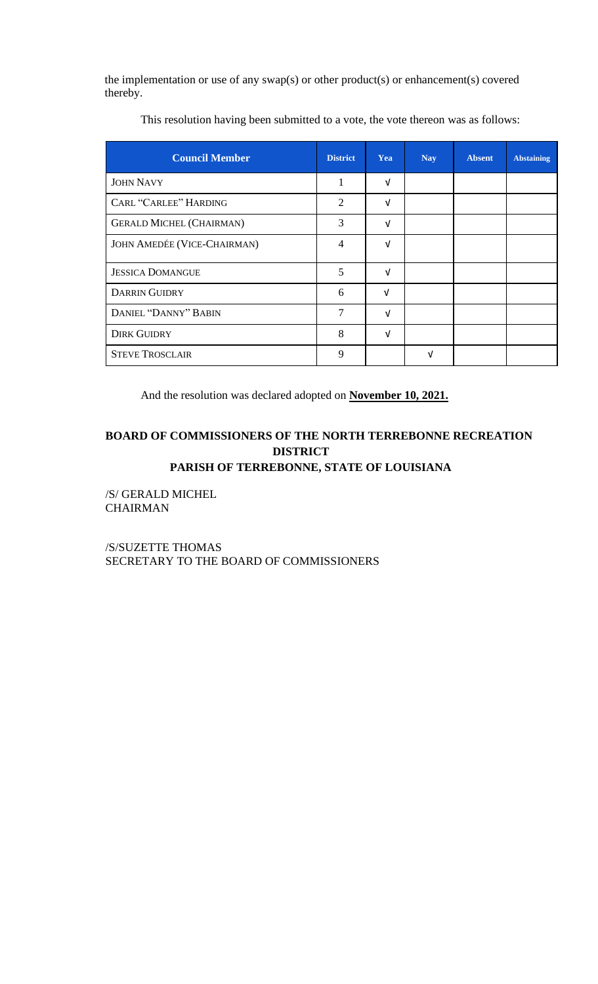the implementation or use of any swap(s) or other product(s) or enhancement(s) covered thereby.

| <b>Council Member</b>           | <b>District</b> | Yea        | <b>Nay</b> | <b>Absent</b> | <b>Abstaining</b> |
|---------------------------------|-----------------|------------|------------|---------------|-------------------|
| <b>JOHN NAVY</b>                | 1               | $\sqrt{ }$ |            |               |                   |
| <b>CARL "CARLEE" HARDING</b>    | 2               | $\sqrt{ }$ |            |               |                   |
| <b>GERALD MICHEL (CHAIRMAN)</b> | 3               | $\sqrt{ }$ |            |               |                   |
| JOHN AMEDÉE (VICE-CHAIRMAN)     | $\overline{4}$  | V          |            |               |                   |
| <b>JESSICA DOMANGUE</b>         | 5               | V          |            |               |                   |
| <b>DARRIN GUIDRY</b>            | 6               | $\sqrt{ }$ |            |               |                   |
| DANIEL "DANNY" BABIN            | $\overline{7}$  | V          |            |               |                   |
| <b>DIRK GUIDRY</b>              | 8               | V          |            |               |                   |
| <b>STEVE TROSCLAIR</b>          | 9               |            | νI         |               |                   |

This resolution having been submitted to a vote, the vote thereon was as follows:

And the resolution was declared adopted on **November 10, 2021.**

# **BOARD OF COMMISSIONERS OF THE NORTH TERREBONNE RECREATION DISTRICT**

## **PARISH OF TERREBONNE, STATE OF LOUISIANA**

/S/ GERALD MICHEL CHAIRMAN

/S/SUZETTE THOMAS SECRETARY TO THE BOARD OF COMMISSIONERS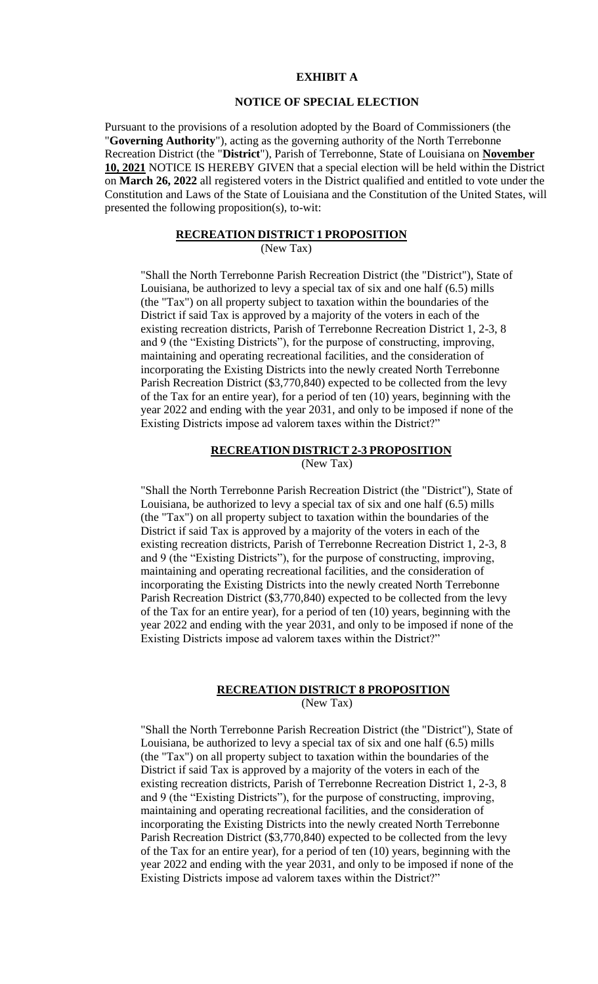### **EXHIBIT A**

### **NOTICE OF SPECIAL ELECTION**

Pursuant to the provisions of a resolution adopted by the Board of Commissioners (the "**Governing Authority**"), acting as the governing authority of the North Terrebonne Recreation District (the "**District**"), Parish of Terrebonne, State of Louisiana on **November 10, 2021** NOTICE IS HEREBY GIVEN that a special election will be held within the District on **March 26, 2022** all registered voters in the District qualified and entitled to vote under the Constitution and Laws of the State of Louisiana and the Constitution of the United States, will presented the following proposition(s), to-wit:

### **RECREATION DISTRICT 1 PROPOSITION**

(New Tax)

"Shall the North Terrebonne Parish Recreation District (the "District"), State of Louisiana, be authorized to levy a special tax of six and one half (6.5) mills (the "Tax") on all property subject to taxation within the boundaries of the District if said Tax is approved by a majority of the voters in each of the existing recreation districts, Parish of Terrebonne Recreation District 1, 2-3, 8 and 9 (the "Existing Districts"), for the purpose of constructing, improving, maintaining and operating recreational facilities, and the consideration of incorporating the Existing Districts into the newly created North Terrebonne Parish Recreation District (\$3,770,840) expected to be collected from the levy of the Tax for an entire year), for a period of ten (10) years, beginning with the year 2022 and ending with the year 2031, and only to be imposed if none of the Existing Districts impose ad valorem taxes within the District?"

#### **RECREATION DISTRICT 2-3 PROPOSITION**

(New Tax)

"Shall the North Terrebonne Parish Recreation District (the "District"), State of Louisiana, be authorized to levy a special tax of six and one half (6.5) mills (the "Tax") on all property subject to taxation within the boundaries of the District if said Tax is approved by a majority of the voters in each of the existing recreation districts, Parish of Terrebonne Recreation District 1, 2-3, 8 and 9 (the "Existing Districts"), for the purpose of constructing, improving, maintaining and operating recreational facilities, and the consideration of incorporating the Existing Districts into the newly created North Terrebonne Parish Recreation District (\$3,770,840) expected to be collected from the levy of the Tax for an entire year), for a period of ten (10) years, beginning with the year 2022 and ending with the year 2031, and only to be imposed if none of the Existing Districts impose ad valorem taxes within the District?"

### **RECREATION DISTRICT 8 PROPOSITION**

(New Tax)

"Shall the North Terrebonne Parish Recreation District (the "District"), State of Louisiana, be authorized to levy a special tax of six and one half (6.5) mills (the "Tax") on all property subject to taxation within the boundaries of the District if said Tax is approved by a majority of the voters in each of the existing recreation districts, Parish of Terrebonne Recreation District 1, 2-3, 8 and 9 (the "Existing Districts"), for the purpose of constructing, improving, maintaining and operating recreational facilities, and the consideration of incorporating the Existing Districts into the newly created North Terrebonne Parish Recreation District (\$3,770,840) expected to be collected from the levy of the Tax for an entire year), for a period of ten (10) years, beginning with the year 2022 and ending with the year 2031, and only to be imposed if none of the Existing Districts impose ad valorem taxes within the District?"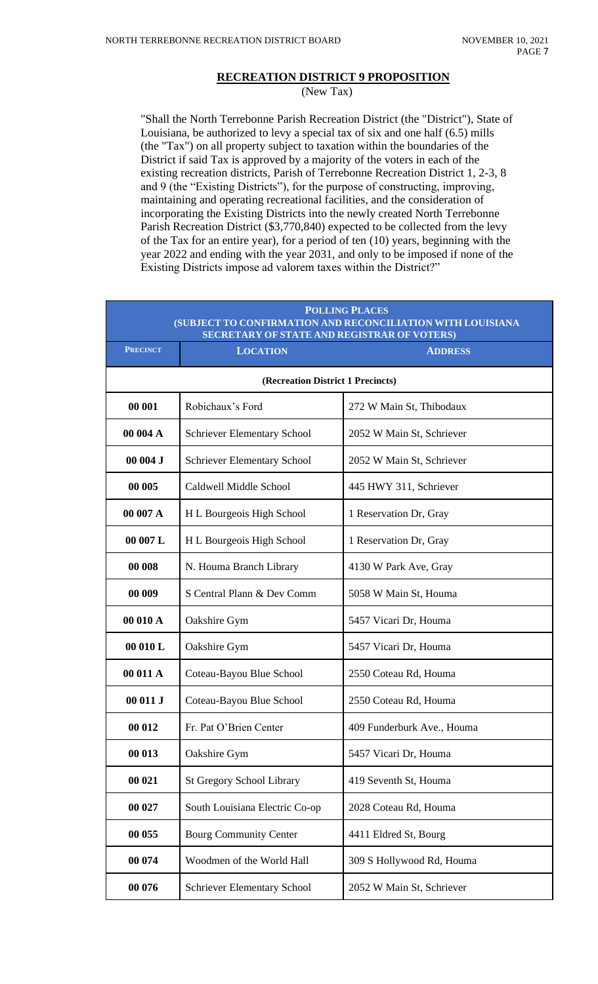## **RECREATION DISTRICT 9 PROPOSITION**

(New Tax)

"Shall the North Terrebonne Parish Recreation District (the "District"), State of Louisiana, be authorized to levy a special tax of six and one half (6.5) mills (the "Tax") on all property subject to taxation within the boundaries of the District if said Tax is approved by a majority of the voters in each of the existing recreation districts, Parish of Terrebonne Recreation District 1, 2-3, 8 and 9 (the "Existing Districts"), for the purpose of constructing, improving, maintaining and operating recreational facilities, and the consideration of incorporating the Existing Districts into the newly created North Terrebonne Parish Recreation District (\$3,770,840) expected to be collected from the levy of the Tax for an entire year), for a period of ten (10) years, beginning with the year 2022 and ending with the year 2031, and only to be imposed if none of the Existing Districts impose ad valorem taxes within the District?"

| <b>POLLING PLACES</b><br>(SUBJECT TO CONFIRMATION AND RECONCILIATION WITH LOUISIANA<br><b>SECRETARY OF STATE AND REGISTRAR OF VOTERS)</b> |                                    |                            |  |  |  |  |  |
|-------------------------------------------------------------------------------------------------------------------------------------------|------------------------------------|----------------------------|--|--|--|--|--|
| <b>PRECINCT</b>                                                                                                                           | <b>LOCATION</b>                    | <b>ADDRESS</b>             |  |  |  |  |  |
| (Recreation District 1 Precincts)                                                                                                         |                                    |                            |  |  |  |  |  |
| 00 001                                                                                                                                    | Robichaux's Ford                   | 272 W Main St, Thibodaux   |  |  |  |  |  |
| 00 004 A                                                                                                                                  | <b>Schriever Elementary School</b> | 2052 W Main St, Schriever  |  |  |  |  |  |
| 00004J                                                                                                                                    | <b>Schriever Elementary School</b> | 2052 W Main St, Schriever  |  |  |  |  |  |
| 00 005                                                                                                                                    | Caldwell Middle School             | 445 HWY 311, Schriever     |  |  |  |  |  |
| 00 007 A                                                                                                                                  | H L Bourgeois High School          | 1 Reservation Dr, Gray     |  |  |  |  |  |
| 00 007 L                                                                                                                                  | H L Bourgeois High School          | 1 Reservation Dr, Gray     |  |  |  |  |  |
| 00 008                                                                                                                                    | N. Houma Branch Library            | 4130 W Park Ave, Gray      |  |  |  |  |  |
| 00 009                                                                                                                                    | S Central Plann & Dev Comm         | 5058 W Main St, Houma      |  |  |  |  |  |
| 00 010 A                                                                                                                                  | Oakshire Gym                       | 5457 Vicari Dr, Houma      |  |  |  |  |  |
| 00 010 L                                                                                                                                  | Oakshire Gym                       | 5457 Vicari Dr, Houma      |  |  |  |  |  |
| 00 011 A                                                                                                                                  | Coteau-Bayou Blue School           | 2550 Coteau Rd, Houma      |  |  |  |  |  |
| 00 011 J                                                                                                                                  | Coteau-Bayou Blue School           | 2550 Coteau Rd, Houma      |  |  |  |  |  |
| 00 012                                                                                                                                    | Fr. Pat O'Brien Center             | 409 Funderburk Ave., Houma |  |  |  |  |  |
| 00 013                                                                                                                                    | Oakshire Gym                       | 5457 Vicari Dr, Houma      |  |  |  |  |  |
| 00 021                                                                                                                                    | <b>St Gregory School Library</b>   | 419 Seventh St, Houma      |  |  |  |  |  |
| 00 027                                                                                                                                    | South Louisiana Electric Co-op     | 2028 Coteau Rd, Houma      |  |  |  |  |  |
| 00 055                                                                                                                                    | <b>Bourg Community Center</b>      | 4411 Eldred St, Bourg      |  |  |  |  |  |
| 00 074                                                                                                                                    | Woodmen of the World Hall          | 309 S Hollywood Rd, Houma  |  |  |  |  |  |
| 00 076                                                                                                                                    | <b>Schriever Elementary School</b> | 2052 W Main St, Schriever  |  |  |  |  |  |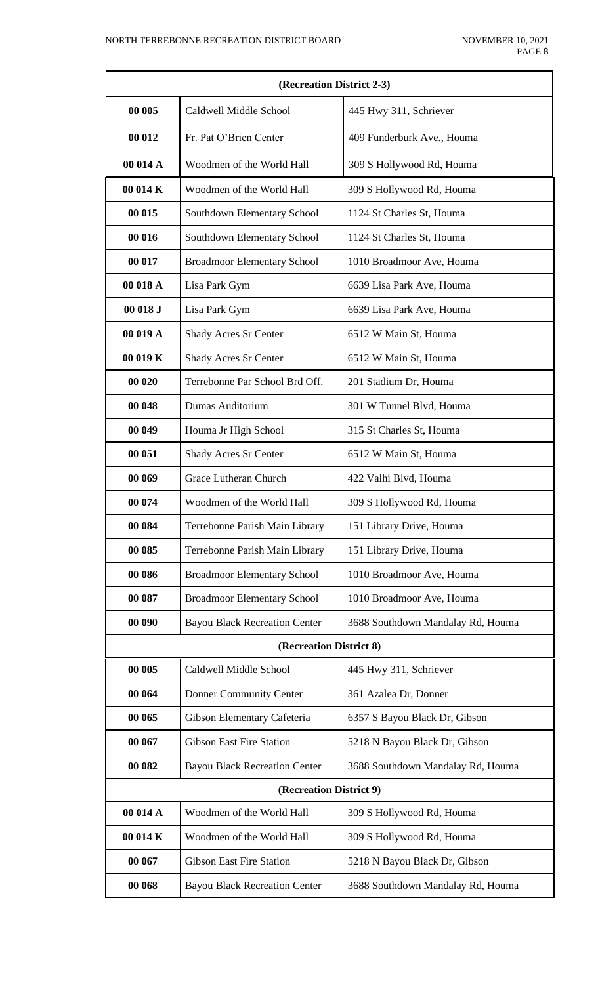| (Recreation District 2-3) |                                      |                                   |  |  |  |
|---------------------------|--------------------------------------|-----------------------------------|--|--|--|
| 00 005                    | Caldwell Middle School               | 445 Hwy 311, Schriever            |  |  |  |
| 00 012                    | Fr. Pat O'Brien Center               | 409 Funderburk Ave., Houma        |  |  |  |
| 00 014 A                  | Woodmen of the World Hall            | 309 S Hollywood Rd, Houma         |  |  |  |
| 00 014 K                  | Woodmen of the World Hall            | 309 S Hollywood Rd, Houma         |  |  |  |
| 00 015                    | Southdown Elementary School          | 1124 St Charles St, Houma         |  |  |  |
| 00 016                    | Southdown Elementary School          | 1124 St Charles St, Houma         |  |  |  |
| 00 017                    | <b>Broadmoor Elementary School</b>   | 1010 Broadmoor Ave, Houma         |  |  |  |
| 00 018 A                  | Lisa Park Gym                        | 6639 Lisa Park Ave, Houma         |  |  |  |
| 00 018 J                  | Lisa Park Gym                        | 6639 Lisa Park Ave, Houma         |  |  |  |
| 00 019 A                  | Shady Acres Sr Center                | 6512 W Main St, Houma             |  |  |  |
| 00 019 K                  | Shady Acres Sr Center                | 6512 W Main St, Houma             |  |  |  |
| 00 020                    | Terrebonne Par School Brd Off.       | 201 Stadium Dr, Houma             |  |  |  |
| 00 048                    | Dumas Auditorium                     | 301 W Tunnel Blvd, Houma          |  |  |  |
| 00 049                    | Houma Jr High School                 | 315 St Charles St, Houma          |  |  |  |
| 00 051                    | Shady Acres Sr Center                | 6512 W Main St, Houma             |  |  |  |
| 00 069                    | Grace Lutheran Church                | 422 Valhi Blvd, Houma             |  |  |  |
| 00 074                    | Woodmen of the World Hall            | 309 S Hollywood Rd, Houma         |  |  |  |
| 00 084                    | Terrebonne Parish Main Library       | 151 Library Drive, Houma          |  |  |  |
| 00 085                    | Terrebonne Parish Main Library       | 151 Library Drive, Houma          |  |  |  |
| 00 086                    | <b>Broadmoor Elementary School</b>   | 1010 Broadmoor Ave, Houma         |  |  |  |
| 00 087                    | <b>Broadmoor Elementary School</b>   | 1010 Broadmoor Ave, Houma         |  |  |  |
| 00 090                    | <b>Bayou Black Recreation Center</b> | 3688 Southdown Mandalay Rd, Houma |  |  |  |
|                           | (Recreation District 8)              |                                   |  |  |  |
| 00 005                    | Caldwell Middle School               | 445 Hwy 311, Schriever            |  |  |  |
| 00 064                    | Donner Community Center              | 361 Azalea Dr, Donner             |  |  |  |
| 00 065                    | Gibson Elementary Cafeteria          | 6357 S Bayou Black Dr, Gibson     |  |  |  |
| 00 067                    | <b>Gibson East Fire Station</b>      | 5218 N Bayou Black Dr, Gibson     |  |  |  |
| 00 082                    | <b>Bayou Black Recreation Center</b> | 3688 Southdown Mandalay Rd, Houma |  |  |  |
|                           | (Recreation District 9)              |                                   |  |  |  |
| 00 014 A                  | Woodmen of the World Hall            | 309 S Hollywood Rd, Houma         |  |  |  |
| 00 014 K                  | Woodmen of the World Hall            | 309 S Hollywood Rd, Houma         |  |  |  |
| 00 067                    | <b>Gibson East Fire Station</b>      | 5218 N Bayou Black Dr, Gibson     |  |  |  |
| 00 068                    | <b>Bayou Black Recreation Center</b> | 3688 Southdown Mandalay Rd, Houma |  |  |  |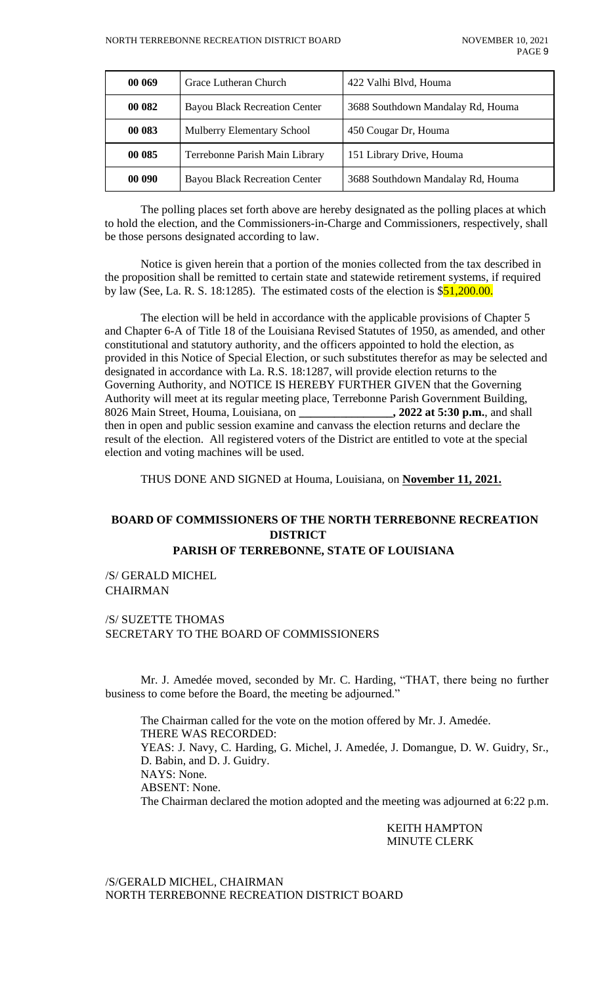| 00 069 | Grace Lutheran Church                | 422 Valhi Blvd, Houma             |
|--------|--------------------------------------|-----------------------------------|
| 00 082 | <b>Bayou Black Recreation Center</b> | 3688 Southdown Mandalay Rd, Houma |
| 00 083 | Mulberry Elementary School           | 450 Cougar Dr, Houma              |
| 00 085 | Terrebonne Parish Main Library       | 151 Library Drive, Houma          |
| 00 090 | <b>Bayou Black Recreation Center</b> | 3688 Southdown Mandalay Rd, Houma |

The polling places set forth above are hereby designated as the polling places at which to hold the election, and the Commissioners-in-Charge and Commissioners, respectively, shall be those persons designated according to law.

Notice is given herein that a portion of the monies collected from the tax described in the proposition shall be remitted to certain state and statewide retirement systems, if required by law (See, La. R. S. 18:1285). The estimated costs of the election is  $$51,200.00$ .

The election will be held in accordance with the applicable provisions of Chapter 5 and Chapter 6-A of Title 18 of the Louisiana Revised Statutes of 1950, as amended, and other constitutional and statutory authority, and the officers appointed to hold the election, as provided in this Notice of Special Election, or such substitutes therefor as may be selected and designated in accordance with La. R.S. 18:1287, will provide election returns to the Governing Authority, and NOTICE IS HEREBY FURTHER GIVEN that the Governing Authority will meet at its regular meeting place, Terrebonne Parish Government Building, 8026 Main Street, Houma, Louisiana, on **\_\_\_\_\_\_\_\_\_\_\_\_\_\_\_\_, 2022 at 5:30 p.m.**, and shall then in open and public session examine and canvass the election returns and declare the result of the election. All registered voters of the District are entitled to vote at the special election and voting machines will be used.

THUS DONE AND SIGNED at Houma, Louisiana, on **November 11, 2021.**

# **BOARD OF COMMISSIONERS OF THE NORTH TERREBONNE RECREATION DISTRICT**

 **PARISH OF TERREBONNE, STATE OF LOUISIANA**

/S/ GERALD MICHEL CHAIRMAN

### /S/ SUZETTE THOMAS SECRETARY TO THE BOARD OF COMMISSIONERS

Mr. J. Amedée moved, seconded by Mr. C. Harding, "THAT, there being no further business to come before the Board, the meeting be adjourned."

The Chairman called for the vote on the motion offered by Mr. J. Amedée. THERE WAS RECORDED: YEAS: J. Navy, C. Harding, G. Michel, J. Amedée, J. Domangue, D. W. Guidry, Sr., D. Babin, and D. J. Guidry. NAYS: None. ABSENT: None. The Chairman declared the motion adopted and the meeting was adjourned at 6:22 p.m.

> KEITH HAMPTON MINUTE CLERK

/S/GERALD MICHEL, CHAIRMAN NORTH TERREBONNE RECREATION DISTRICT BOARD